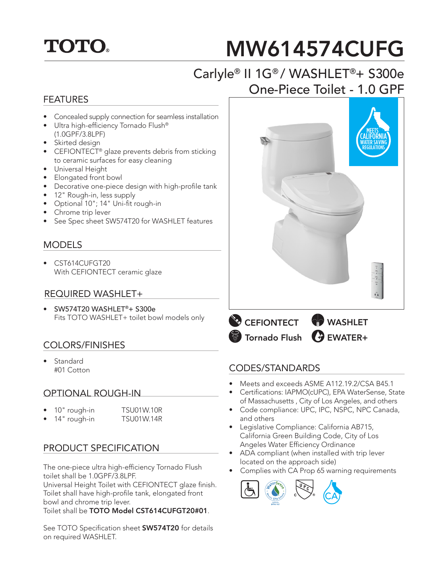

# MW614574CUFG

# Carlyle® II 1G® / WASHLET®+ S300e One-Piece Toilet - 1.0 GPF

#### FEATURES

- Concealed supply connection for seamless installation
- Ultra high-efficiency Tornado Flush® (1.0GPF/3.8LPF)
- Skirted design
- CEFIONTECT<sup>®</sup> glaze prevents debris from sticking to ceramic surfaces for easy cleaning
- Universal Height
- Elongated front bowl
- Decorative one-piece design with high-profile tank
- 12" Rough-in, less supply
- Optional 10"; 14" Uni-fit rough-in
- Chrome trip lever
- See Spec sheet SW574T20 for WASHLET features

#### MODELS

• CST614CUFGT20 With CEFIONTECT ceramic glaze

#### REQUIRED WASHLET+

• SW574T20 WASHLET®+ S300e Fits TOTO WASHLET+ toilet bowl models only

## COLORS/FINISHES

• Standard #01 Cotton

#### OPTIONAL ROUGH-IN

- 10" rough-in TSU01W.10R
	- 14" rough-in TSU01W.14R
- 

## PRODUCT SPECIFICATION

The one-piece ultra high-efficiency Tornado Flush toilet shall be 1.0GPF/3.8LPF.

Universal Height Toilet with CEFIONTECT glaze finish. Toilet shall have high-profile tank, elongated front bowl and chrome trip lever.

Toilet shall be TOTO Model CST614CUFGT20#01.

See TOTO Specification sheet **SW574T20** for details on required WASHLET.





#### CODES/STANDARDS

- Meets and exceeds ASME A112.19.2/CSA B45.1
- Certifications: IAPMO(cUPC), EPA WaterSense, State of Massachusetts , City of Los Angeles, and others
- Code compliance: UPC, IPC, NSPC, NPC Canada, and others
- Legislative Compliance: California AB715, California Green Building Code, City of Los Angeles Water Efficiency Ordinance
- ADA compliant (when installed with trip lever located on the approach side)
- Complies with CA Prop 65 warning requirements